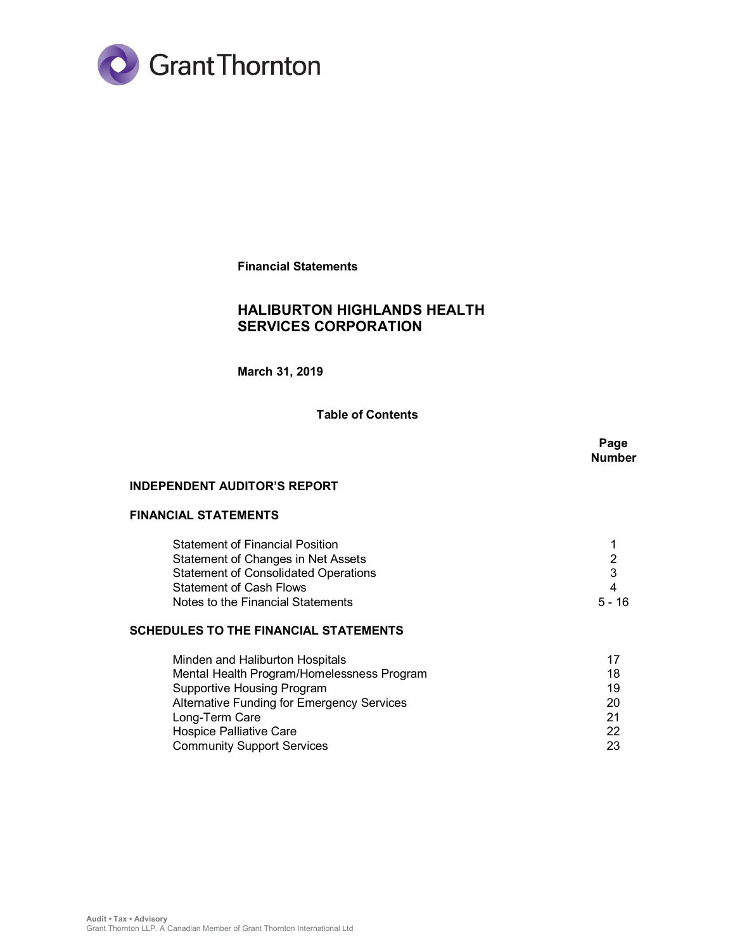

#### **Financial Statements**

## **HALIBURTON HIGHLANDS HEALTH SERVICES CORPORATION**

**March 31, 2019**

#### **Table of Contents**

|                                                                                                                                                                                                                                                           | Page<br><b>Number</b>                     |
|-----------------------------------------------------------------------------------------------------------------------------------------------------------------------------------------------------------------------------------------------------------|-------------------------------------------|
| <b>INDEPENDENT AUDITOR'S REPORT</b>                                                                                                                                                                                                                       |                                           |
| <b>FINANCIAL STATEMENTS</b>                                                                                                                                                                                                                               |                                           |
| Statement of Financial Position<br>Statement of Changes in Net Assets<br><b>Statement of Consolidated Operations</b><br><b>Statement of Cash Flows</b><br>Notes to the Financial Statements                                                               | 1<br>$\overline{2}$<br>3<br>4<br>$5 - 16$ |
| <b>SCHEDULES TO THE FINANCIAL STATEMENTS</b>                                                                                                                                                                                                              |                                           |
| Minden and Haliburton Hospitals<br>Mental Health Program/Homelessness Program<br>Supportive Housing Program<br><b>Alternative Funding for Emergency Services</b><br>Long-Term Care<br><b>Hospice Palliative Care</b><br><b>Community Support Services</b> | 17<br>18<br>19<br>20<br>21<br>22<br>23    |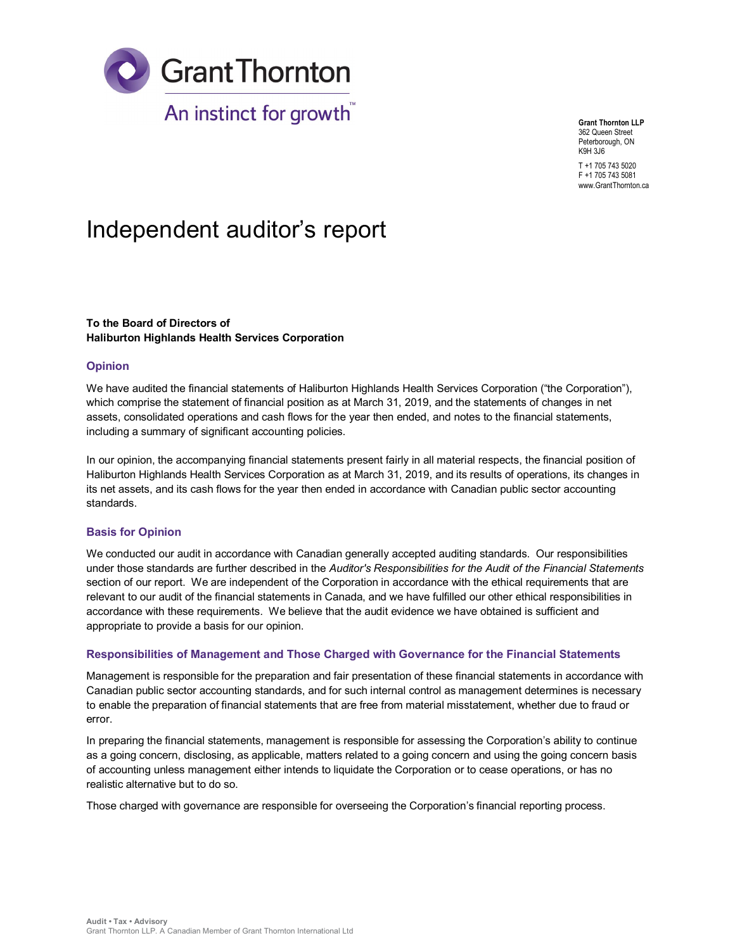

**Grant Thornton LLP** 362 Queen Street Peterborough, ON K9H 3J6 T +1 705 743 5020 F +1 705 743 5081 www.GrantThornton.ca

# Independent auditor's report

#### **To the Board of Directors of Haliburton Highlands Health Services Corporation**

#### **Opinion**

We have audited the financial statements of Haliburton Highlands Health Services Corporation ("the Corporation"), which comprise the statement of financial position as at March 31, 2019, and the statements of changes in net assets, consolidated operations and cash flows for the year then ended, and notes to the financial statements, including a summary of significant accounting policies.

In our opinion, the accompanying financial statements present fairly in all material respects, the financial position of Haliburton Highlands Health Services Corporation as at March 31, 2019, and its results of operations, its changes in its net assets, and its cash flows for the year then ended in accordance with Canadian public sector accounting standards.

#### **Basis for Opinion**

We conducted our audit in accordance with Canadian generally accepted auditing standards. Our responsibilities under those standards are further described in the *Auditor's Responsibilities for the Audit of the Financial Statements* section of our report. We are independent of the Corporation in accordance with the ethical requirements that are relevant to our audit of the financial statements in Canada, and we have fulfilled our other ethical responsibilities in accordance with these requirements. We believe that the audit evidence we have obtained is sufficient and appropriate to provide a basis for our opinion.

#### **Responsibilities of Management and Those Charged with Governance for the Financial Statements**

Management is responsible for the preparation and fair presentation of these financial statements in accordance with Canadian public sector accounting standards, and for such internal control as management determines is necessary to enable the preparation of financial statements that are free from material misstatement, whether due to fraud or error.

In preparing the financial statements, management is responsible for assessing the Corporation's ability to continue as a going concern, disclosing, as applicable, matters related to a going concern and using the going concern basis of accounting unless management either intends to liquidate the Corporation or to cease operations, or has no realistic alternative but to do so.

Those charged with governance are responsible for overseeing the Corporation's financial reporting process.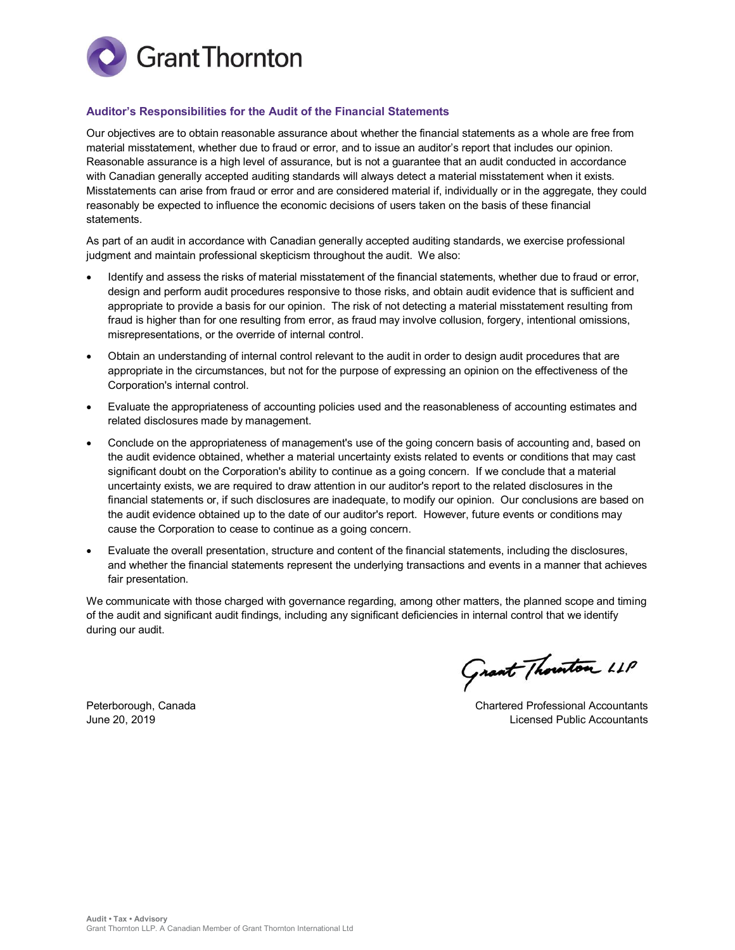

#### **Auditor's Responsibilities for the Audit of the Financial Statements**

Our objectives are to obtain reasonable assurance about whether the financial statements as a whole are free from material misstatement, whether due to fraud or error, and to issue an auditor's report that includes our opinion. Reasonable assurance is a high level of assurance, but is not a guarantee that an audit conducted in accordance with Canadian generally accepted auditing standards will always detect a material misstatement when it exists. Misstatements can arise from fraud or error and are considered material if, individually or in the aggregate, they could reasonably be expected to influence the economic decisions of users taken on the basis of these financial statements.

As part of an audit in accordance with Canadian generally accepted auditing standards, we exercise professional judgment and maintain professional skepticism throughout the audit. We also:

- Identify and assess the risks of material misstatement of the financial statements, whether due to fraud or error, design and perform audit procedures responsive to those risks, and obtain audit evidence that is sufficient and appropriate to provide a basis for our opinion. The risk of not detecting a material misstatement resulting from fraud is higher than for one resulting from error, as fraud may involve collusion, forgery, intentional omissions, misrepresentations, or the override of internal control.
- · Obtain an understanding of internal control relevant to the audit in order to design audit procedures that are appropriate in the circumstances, but not for the purpose of expressing an opinion on the effectiveness of the Corporation's internal control.
- · Evaluate the appropriateness of accounting policies used and the reasonableness of accounting estimates and related disclosures made by management.
- Conclude on the appropriateness of management's use of the going concern basis of accounting and, based on the audit evidence obtained, whether a material uncertainty exists related to events or conditions that may cast significant doubt on the Corporation's ability to continue as a going concern. If we conclude that a material uncertainty exists, we are required to draw attention in our auditor's report to the related disclosures in the financial statements or, if such disclosures are inadequate, to modify our opinion. Our conclusions are based on the audit evidence obtained up to the date of our auditor's report. However, future events or conditions may cause the Corporation to cease to continue as a going concern.
- · Evaluate the overall presentation, structure and content of the financial statements, including the disclosures, and whether the financial statements represent the underlying transactions and events in a manner that achieves fair presentation.

We communicate with those charged with governance regarding, among other matters, the planned scope and timing of the audit and significant audit findings, including any significant deficiencies in internal control that we identify during our audit.

Grant Thouston LLP

Peterborough, Canada Chartered Professional Accountants June 20, 2019 Licensed Public Accountants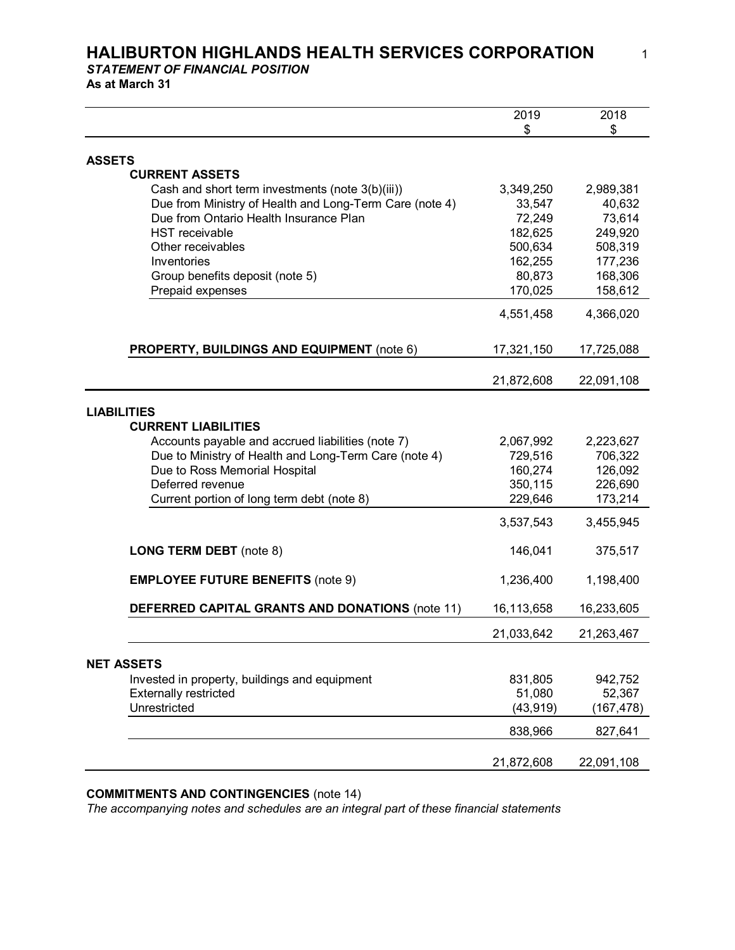*STATEMENT OF FINANCIAL POSITION*

**As at March 31**

|                                                                                                             | 2019                | 2018                |
|-------------------------------------------------------------------------------------------------------------|---------------------|---------------------|
|                                                                                                             | \$                  | \$                  |
|                                                                                                             |                     |                     |
| <b>ASSETS</b>                                                                                               |                     |                     |
| <b>CURRENT ASSETS</b>                                                                                       |                     |                     |
| Cash and short term investments (note 3(b)(iii))<br>Due from Ministry of Health and Long-Term Care (note 4) | 3,349,250<br>33,547 | 2,989,381<br>40,632 |
| Due from Ontario Health Insurance Plan                                                                      | 72,249              | 73,614              |
| <b>HST</b> receivable                                                                                       | 182,625             | 249,920             |
| Other receivables                                                                                           | 500,634             | 508,319             |
| Inventories                                                                                                 | 162,255             | 177,236             |
| Group benefits deposit (note 5)                                                                             | 80,873              | 168,306             |
| Prepaid expenses                                                                                            | 170,025             | 158,612             |
|                                                                                                             |                     |                     |
|                                                                                                             | 4,551,458           | 4,366,020           |
| <b>PROPERTY, BUILDINGS AND EQUIPMENT (note 6)</b>                                                           | 17,321,150          | 17,725,088          |
|                                                                                                             |                     |                     |
|                                                                                                             | 21,872,608          | 22,091,108          |
| <b>LIABILITIES</b><br><b>CURRENT LIABILITIES</b>                                                            |                     |                     |
| Accounts payable and accrued liabilities (note 7)                                                           | 2,067,992           | 2,223,627           |
| Due to Ministry of Health and Long-Term Care (note 4)                                                       | 729,516             | 706,322             |
| Due to Ross Memorial Hospital                                                                               | 160,274             | 126,092             |
| Deferred revenue                                                                                            | 350,115             | 226,690             |
| Current portion of long term debt (note 8)                                                                  | 229,646             | 173,214             |
|                                                                                                             | 3,537,543           | 3,455,945           |
| <b>LONG TERM DEBT</b> (note 8)                                                                              | 146,041             | 375,517             |
| <b>EMPLOYEE FUTURE BENEFITS (note 9)</b>                                                                    | 1,236,400           | 1,198,400           |
| <b>DEFERRED CAPITAL GRANTS AND DONATIONS (note 11)</b>                                                      | 16,113,658          | 16,233,605          |
|                                                                                                             | 21,033,642          | 21,263,467          |
| <b>NET ASSETS</b>                                                                                           |                     |                     |
| Invested in property, buildings and equipment                                                               | 831,805             | 942,752             |
| <b>Externally restricted</b>                                                                                | 51,080              | 52,367              |
| Unrestricted                                                                                                | (43, 919)           | (167, 478)          |
|                                                                                                             | 838,966             | 827,641             |
|                                                                                                             | 21,872,608          | 22,091,108          |

**COMMITMENTS AND CONTINGENCIES** (note 14)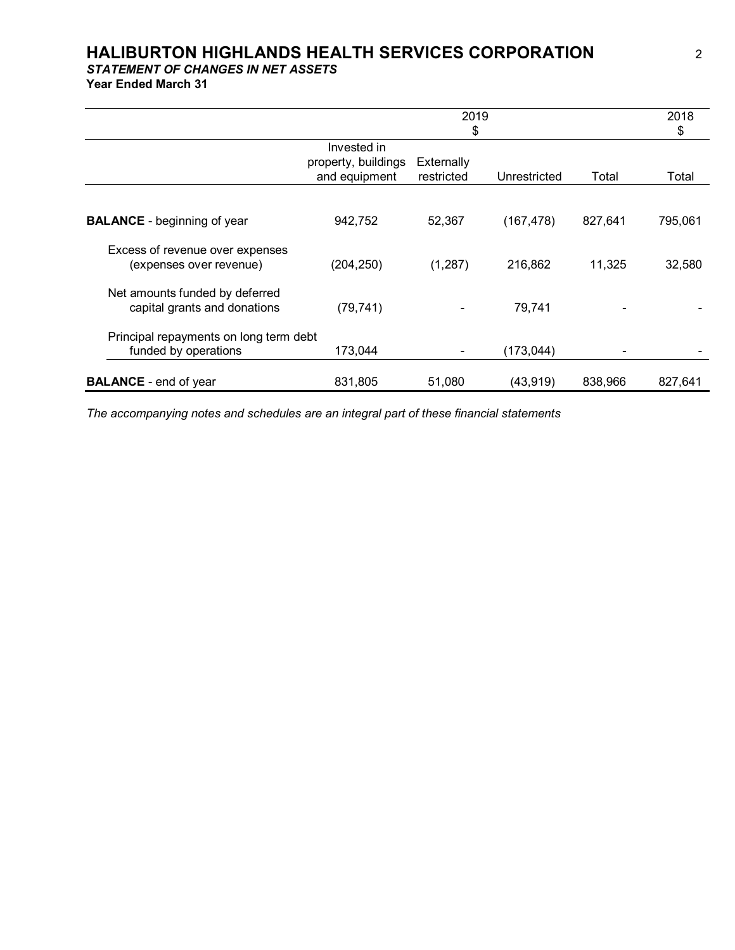*STATEMENT OF CHANGES IN NET ASSETS*

**Year Ended March 31**

|                                                                |                                                     | 2019<br>\$               |              |         | 2018<br>\$ |
|----------------------------------------------------------------|-----------------------------------------------------|--------------------------|--------------|---------|------------|
|                                                                | Invested in<br>property, buildings<br>and equipment | Externally<br>restricted | Unrestricted | Total   | Total      |
| <b>BALANCE</b> - beginning of year                             | 942,752                                             | 52,367                   | (167, 478)   | 827,641 | 795,061    |
| Excess of revenue over expenses<br>(expenses over revenue)     | (204, 250)                                          | (1, 287)                 | 216,862      | 11,325  | 32,580     |
| Net amounts funded by deferred<br>capital grants and donations | (79, 741)                                           |                          | 79,741       |         |            |
| Principal repayments on long term debt<br>funded by operations | 173,044                                             |                          | (173, 044)   |         |            |
| <b>BALANCE</b> - end of year                                   | 831,805                                             | 51,080                   | (43, 919)    | 838,966 | 827,641    |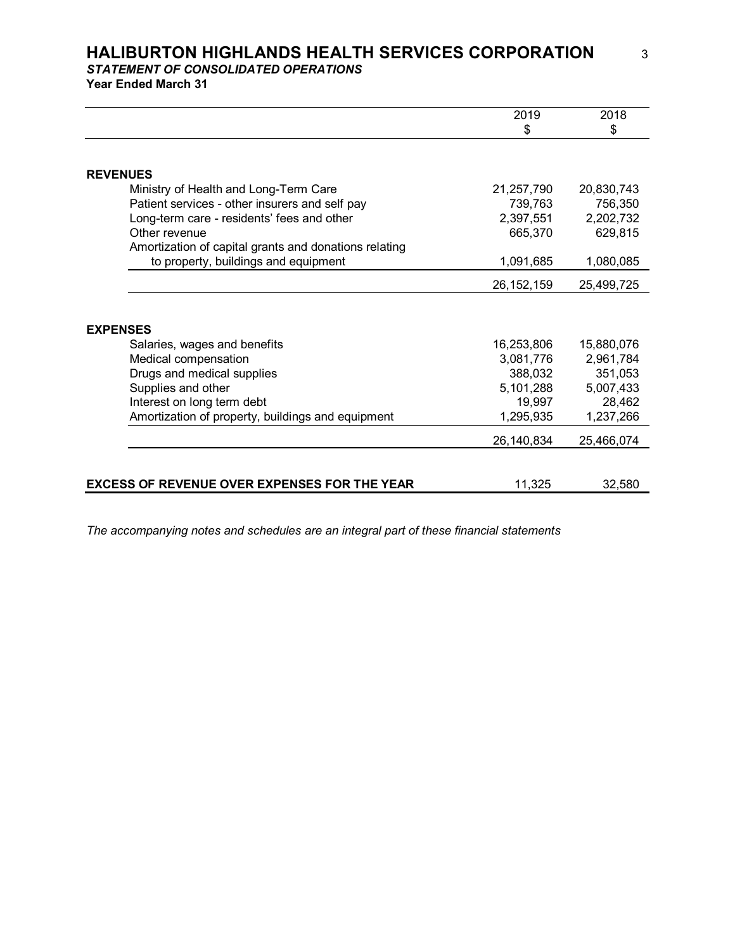*STATEMENT OF CONSOLIDATED OPERATIONS*

**Year Ended March 31**

|                                                       | 2019         | 2018       |
|-------------------------------------------------------|--------------|------------|
|                                                       | \$           | \$         |
|                                                       |              |            |
| <b>REVENUES</b>                                       |              |            |
| Ministry of Health and Long-Term Care                 | 21,257,790   | 20,830,743 |
| Patient services - other insurers and self pay        | 739,763      | 756,350    |
| Long-term care - residents' fees and other            | 2,397,551    | 2,202,732  |
| Other revenue                                         | 665,370      | 629,815    |
| Amortization of capital grants and donations relating |              |            |
| to property, buildings and equipment                  | 1,091,685    | 1,080,085  |
|                                                       | 26, 152, 159 | 25,499,725 |
|                                                       |              |            |
| <b>EXPENSES</b>                                       |              |            |
| Salaries, wages and benefits                          | 16,253,806   | 15,880,076 |
| Medical compensation                                  | 3,081,776    | 2,961,784  |
| Drugs and medical supplies                            | 388,032      | 351,053    |
| Supplies and other                                    | 5,101,288    | 5,007,433  |
| Interest on long term debt                            | 19,997       | 28,462     |
| Amortization of property, buildings and equipment     | 1,295,935    | 1,237,266  |
|                                                       | 26,140,834   | 25,466,074 |
|                                                       |              |            |
| <b>EXCESS OF REVENUE OVER EXPENSES FOR THE YEAR</b>   | 11,325       | 32,580     |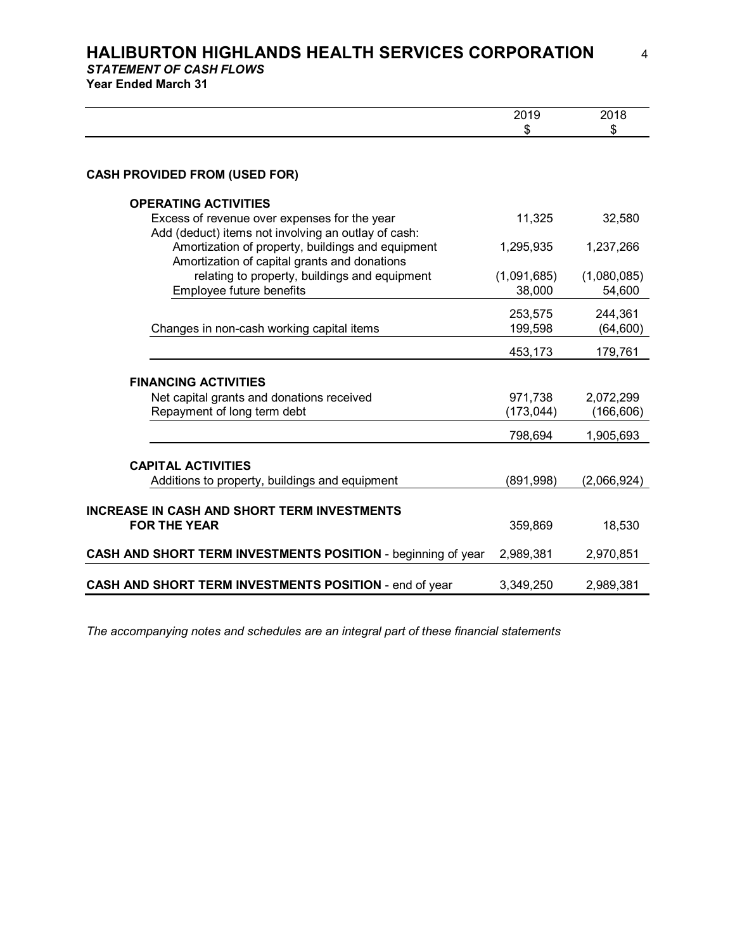*STATEMENT OF CASH FLOWS*

**Year Ended March 31**

|                                                                                                     | 2019                  | 2018                  |
|-----------------------------------------------------------------------------------------------------|-----------------------|-----------------------|
|                                                                                                     | \$                    | \$                    |
|                                                                                                     |                       |                       |
| <b>CASH PROVIDED FROM (USED FOR)</b>                                                                |                       |                       |
| <b>OPERATING ACTIVITIES</b>                                                                         |                       |                       |
| Excess of revenue over expenses for the year<br>Add (deduct) items not involving an outlay of cash: | 11,325                | 32,580                |
| Amortization of property, buildings and equipment<br>Amortization of capital grants and donations   | 1,295,935             | 1,237,266             |
| relating to property, buildings and equipment<br>Employee future benefits                           | (1,091,685)<br>38,000 | (1,080,085)<br>54,600 |
|                                                                                                     | 253,575               | 244,361               |
| Changes in non-cash working capital items                                                           | 199,598               | (64, 600)             |
|                                                                                                     | 453,173               | 179,761               |
| <b>FINANCING ACTIVITIES</b>                                                                         |                       |                       |
| Net capital grants and donations received                                                           | 971,738               | 2,072,299             |
| Repayment of long term debt                                                                         | (173, 044)            | (166, 606)            |
|                                                                                                     | 798,694               | 1,905,693             |
| <b>CAPITAL ACTIVITIES</b>                                                                           |                       |                       |
| Additions to property, buildings and equipment                                                      | (891, 998)            | (2,066,924)           |
|                                                                                                     |                       |                       |
| <b>INCREASE IN CASH AND SHORT TERM INVESTMENTS</b><br><b>FOR THE YEAR</b>                           | 359,869               | 18,530                |
| <b>CASH AND SHORT TERM INVESTMENTS POSITION - beginning of year</b>                                 | 2,989,381             | 2,970,851             |
| CASH AND SHORT TERM INVESTMENTS POSITION - end of year                                              | 3,349,250             | 2,989,381             |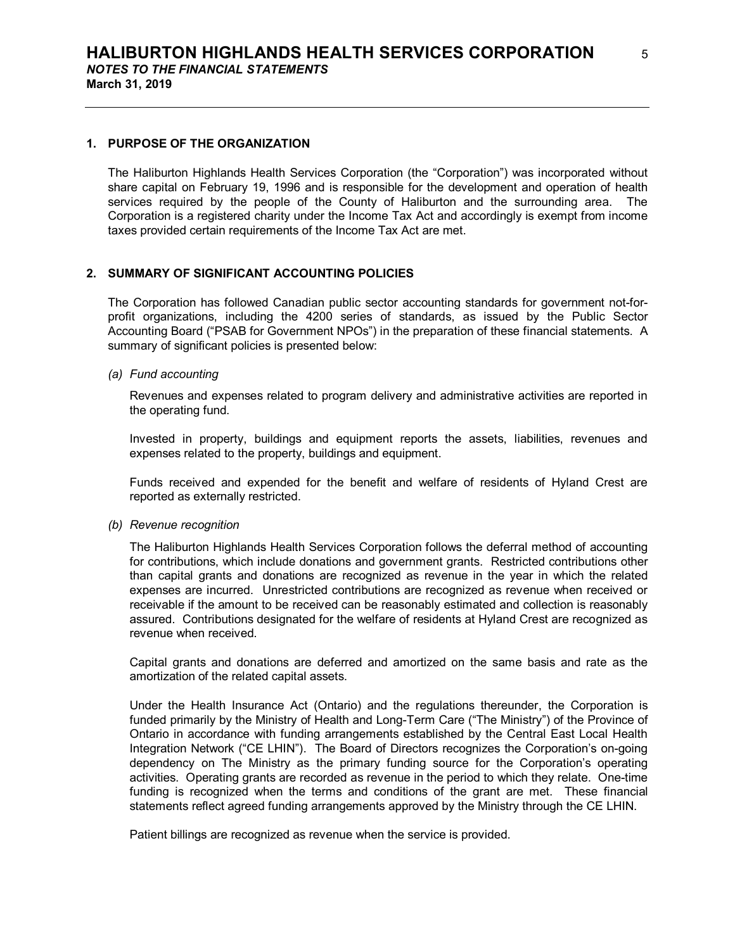#### **1. PURPOSE OF THE ORGANIZATION**

The Haliburton Highlands Health Services Corporation (the "Corporation") was incorporated without share capital on February 19, 1996 and is responsible for the development and operation of health services required by the people of the County of Haliburton and the surrounding area. The Corporation is a registered charity under the Income Tax Act and accordingly is exempt from income taxes provided certain requirements of the Income Tax Act are met.

#### **2. SUMMARY OF SIGNIFICANT ACCOUNTING POLICIES**

 The Corporation has followed Canadian public sector accounting standards for government not-forprofit organizations, including the 4200 series of standards, as issued by the Public Sector Accounting Board ("PSAB for Government NPOs") in the preparation of these financial statements. A summary of significant policies is presented below:

#### *(a) Fund accounting*

Revenues and expenses related to program delivery and administrative activities are reported in the operating fund.

Invested in property, buildings and equipment reports the assets, liabilities, revenues and expenses related to the property, buildings and equipment.

Funds received and expended for the benefit and welfare of residents of Hyland Crest are reported as externally restricted.

#### *(b) Revenue recognition*

The Haliburton Highlands Health Services Corporation follows the deferral method of accounting for contributions, which include donations and government grants. Restricted contributions other than capital grants and donations are recognized as revenue in the year in which the related expenses are incurred. Unrestricted contributions are recognized as revenue when received or receivable if the amount to be received can be reasonably estimated and collection is reasonably assured. Contributions designated for the welfare of residents at Hyland Crest are recognized as revenue when received.

Capital grants and donations are deferred and amortized on the same basis and rate as the amortization of the related capital assets.

Under the Health Insurance Act (Ontario) and the regulations thereunder, the Corporation is funded primarily by the Ministry of Health and Long-Term Care ("The Ministry") of the Province of Ontario in accordance with funding arrangements established by the Central East Local Health Integration Network ("CE LHIN"). The Board of Directors recognizes the Corporation's on-going dependency on The Ministry as the primary funding source for the Corporation's operating activities. Operating grants are recorded as revenue in the period to which they relate. One-time funding is recognized when the terms and conditions of the grant are met. These financial statements reflect agreed funding arrangements approved by the Ministry through the CE LHIN.

Patient billings are recognized as revenue when the service is provided.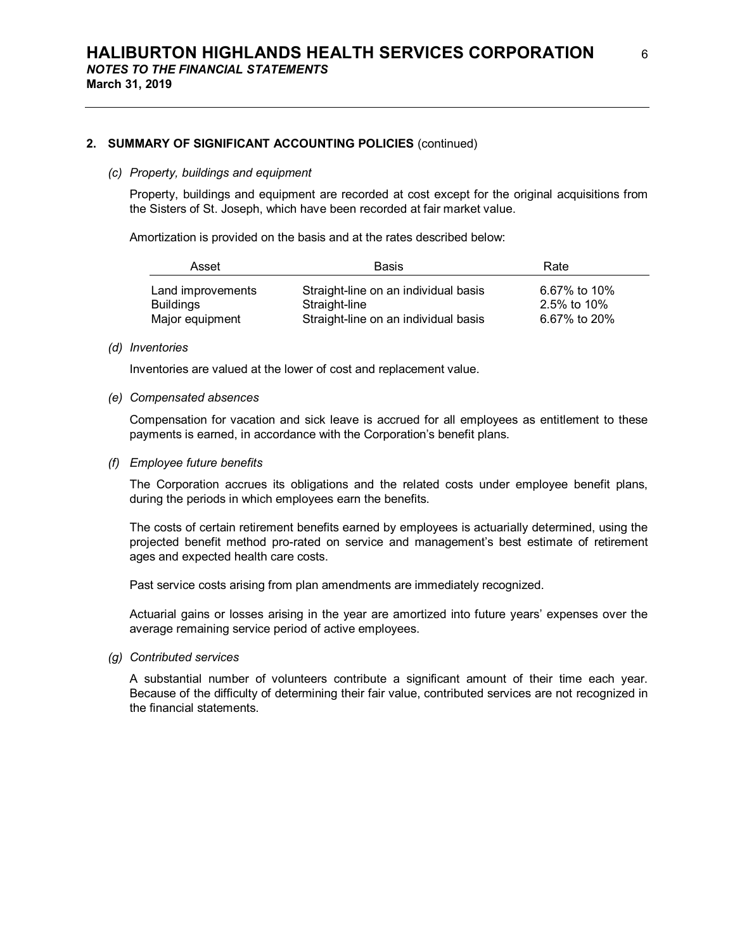#### **2. SUMMARY OF SIGNIFICANT ACCOUNTING POLICIES** (continued)

#### *(c) Property, buildings and equipment*

 Property, buildings and equipment are recorded at cost except for the original acquisitions from the Sisters of St. Joseph, which have been recorded at fair market value.

Amortization is provided on the basis and at the rates described below:

| Asset                                 | <b>Basis</b>                                          | Rate                        |
|---------------------------------------|-------------------------------------------------------|-----------------------------|
| Land improvements<br><b>Buildings</b> | Straight-line on an individual basis<br>Straight-line | 6.67% to 10%<br>2.5% to 10% |
| Major equipment                       | Straight-line on an individual basis                  | 6.67% to 20%                |

#### *(d) Inventories*

Inventories are valued at the lower of cost and replacement value.

#### *(e) Compensated absences*

Compensation for vacation and sick leave is accrued for all employees as entitlement to these payments is earned, in accordance with the Corporation's benefit plans.

#### *(f) Employee future benefits*

The Corporation accrues its obligations and the related costs under employee benefit plans, during the periods in which employees earn the benefits.

The costs of certain retirement benefits earned by employees is actuarially determined, using the projected benefit method pro-rated on service and management's best estimate of retirement ages and expected health care costs.

Past service costs arising from plan amendments are immediately recognized.

Actuarial gains or losses arising in the year are amortized into future years' expenses over the average remaining service period of active employees.

*(g) Contributed services*

A substantial number of volunteers contribute a significant amount of their time each year. Because of the difficulty of determining their fair value, contributed services are not recognized in the financial statements.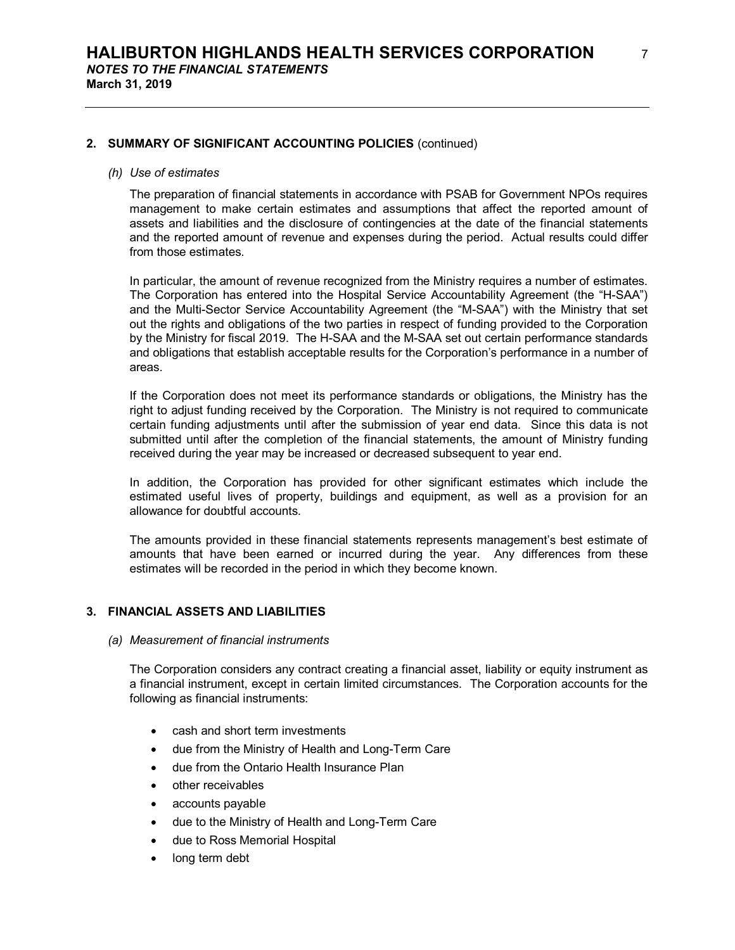#### **2. SUMMARY OF SIGNIFICANT ACCOUNTING POLICIES** (continued)

#### *(h) Use of estimates*

The preparation of financial statements in accordance with PSAB for Government NPOs requires management to make certain estimates and assumptions that affect the reported amount of assets and liabilities and the disclosure of contingencies at the date of the financial statements and the reported amount of revenue and expenses during the period. Actual results could differ from those estimates.

In particular, the amount of revenue recognized from the Ministry requires a number of estimates. The Corporation has entered into the Hospital Service Accountability Agreement (the "H-SAA") and the Multi-Sector Service Accountability Agreement (the "M-SAA") with the Ministry that set out the rights and obligations of the two parties in respect of funding provided to the Corporation by the Ministry for fiscal 2019. The H-SAA and the M-SAA set out certain performance standards and obligations that establish acceptable results for the Corporation's performance in a number of areas.

If the Corporation does not meet its performance standards or obligations, the Ministry has the right to adjust funding received by the Corporation. The Ministry is not required to communicate certain funding adjustments until after the submission of year end data. Since this data is not submitted until after the completion of the financial statements, the amount of Ministry funding received during the year may be increased or decreased subsequent to year end.

In addition, the Corporation has provided for other significant estimates which include the estimated useful lives of property, buildings and equipment, as well as a provision for an allowance for doubtful accounts.

The amounts provided in these financial statements represents management's best estimate of amounts that have been earned or incurred during the year. Any differences from these estimates will be recorded in the period in which they become known.

#### **3. FINANCIAL ASSETS AND LIABILITIES**

#### *(a) Measurement of financial instruments*

The Corporation considers any contract creating a financial asset, liability or equity instrument as a financial instrument, except in certain limited circumstances. The Corporation accounts for the following as financial instruments:

- · cash and short term investments
- · due from the Ministry of Health and Long-Term Care
- · due from the Ontario Health Insurance Plan
- · other receivables
- · accounts payable
- · due to the Ministry of Health and Long-Term Care
- · due to Ross Memorial Hospital
- long term debt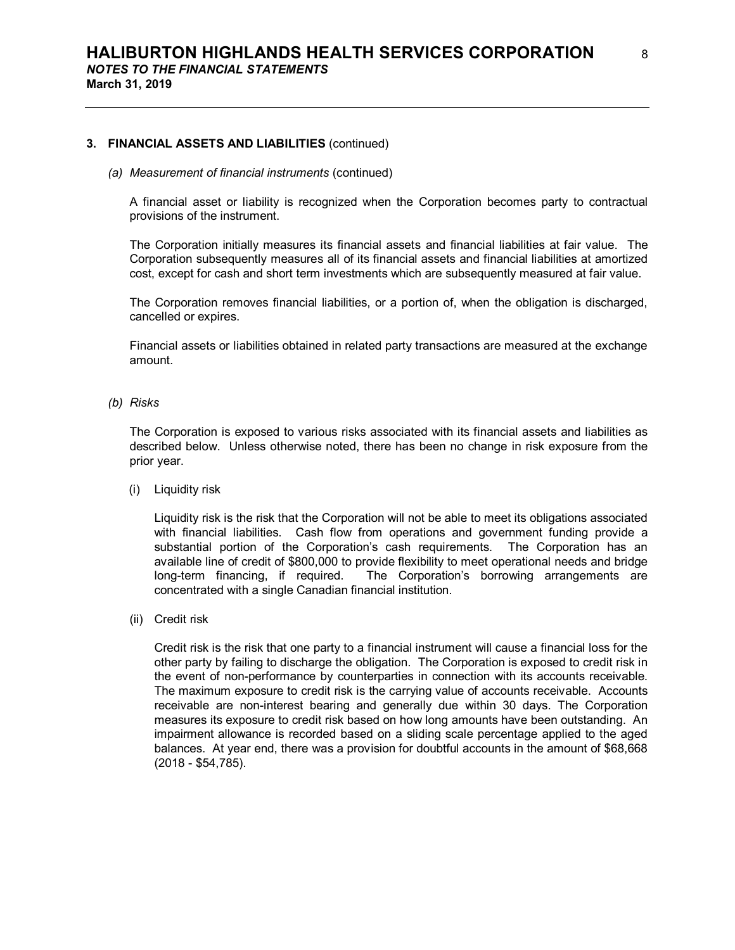#### **3. FINANCIAL ASSETS AND LIABILITIES** (continued)

#### *(a) Measurement of financial instruments* (continued)

A financial asset or liability is recognized when the Corporation becomes party to contractual provisions of the instrument.

The Corporation initially measures its financial assets and financial liabilities at fair value. The Corporation subsequently measures all of its financial assets and financial liabilities at amortized cost, except for cash and short term investments which are subsequently measured at fair value.

The Corporation removes financial liabilities, or a portion of, when the obligation is discharged, cancelled or expires.

Financial assets or liabilities obtained in related party transactions are measured at the exchange amount.

*(b) Risks*

The Corporation is exposed to various risks associated with its financial assets and liabilities as described below. Unless otherwise noted, there has been no change in risk exposure from the prior year.

(i) Liquidity risk

Liquidity risk is the risk that the Corporation will not be able to meet its obligations associated with financial liabilities. Cash flow from operations and government funding provide a substantial portion of the Corporation's cash requirements. The Corporation has an available line of credit of \$800,000 to provide flexibility to meet operational needs and bridge long-term financing, if required. The Corporation's borrowing arrangements are concentrated with a single Canadian financial institution.

(ii) Credit risk

Credit risk is the risk that one party to a financial instrument will cause a financial loss for the other party by failing to discharge the obligation. The Corporation is exposed to credit risk in the event of non-performance by counterparties in connection with its accounts receivable. The maximum exposure to credit risk is the carrying value of accounts receivable. Accounts receivable are non-interest bearing and generally due within 30 days. The Corporation measures its exposure to credit risk based on how long amounts have been outstanding. An impairment allowance is recorded based on a sliding scale percentage applied to the aged balances. At year end, there was a provision for doubtful accounts in the amount of \$68,668 (2018 - \$54,785).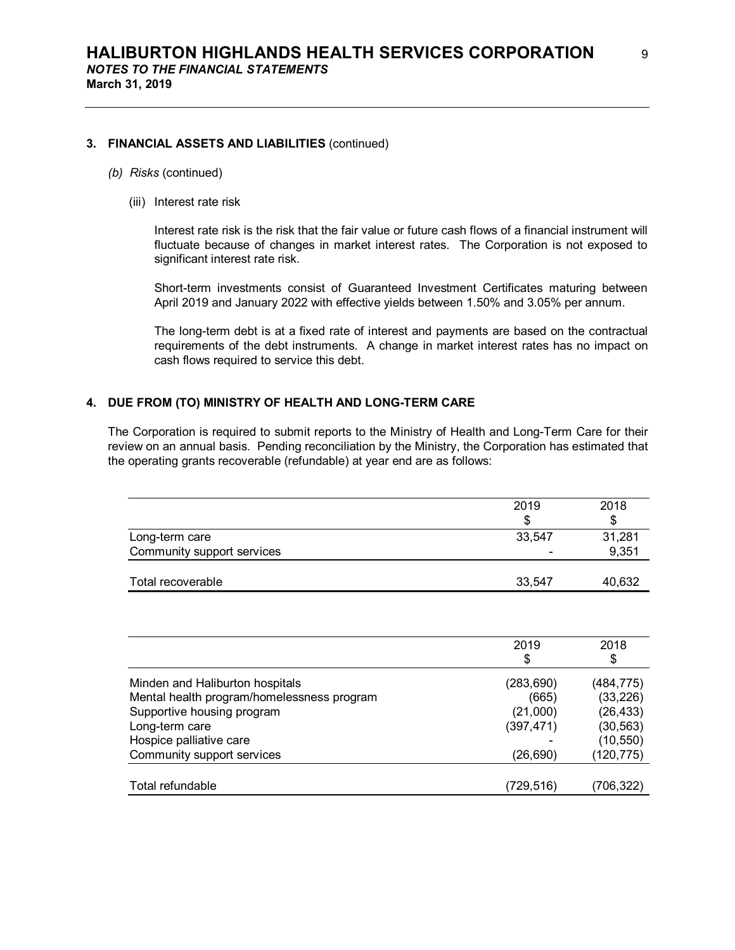#### **3. FINANCIAL ASSETS AND LIABILITIES** (continued)

#### *(b) Risks* (continued)

(iii) Interest rate risk

Interest rate risk is the risk that the fair value or future cash flows of a financial instrument will fluctuate because of changes in market interest rates. The Corporation is not exposed to significant interest rate risk.

Short-term investments consist of Guaranteed Investment Certificates maturing between April 2019 and January 2022 with effective yields between 1.50% and 3.05% per annum.

The long-term debt is at a fixed rate of interest and payments are based on the contractual requirements of the debt instruments. A change in market interest rates has no impact on cash flows required to service this debt.

#### **4. DUE FROM (TO) MINISTRY OF HEALTH AND LONG-TERM CARE**

The Corporation is required to submit reports to the Ministry of Health and Long-Term Care for their review on an annual basis. Pending reconciliation by the Ministry, the Corporation has estimated that the operating grants recoverable (refundable) at year end are as follows:

|                            | 2019                     | 2018<br>S |
|----------------------------|--------------------------|-----------|
| Long-term care             | 33,547                   | 31,281    |
| Community support services | $\overline{\phantom{a}}$ | 9,351     |
| Total recoverable          | 33,547                   | 40,632    |

|                                            | 2019<br>\$ | 2018<br>\$ |
|--------------------------------------------|------------|------------|
| Minden and Haliburton hospitals            | (283, 690) | (484,775)  |
| Mental health program/homelessness program | (665)      | (33, 226)  |
| Supportive housing program                 | (21,000)   | (26, 433)  |
| Long-term care                             | (397, 471) | (30, 563)  |
| Hospice palliative care                    |            | (10, 550)  |
| Community support services                 | (26,690)   | (120, 775) |
|                                            |            |            |
| Total refundable                           | (729, 516) | (706,322)  |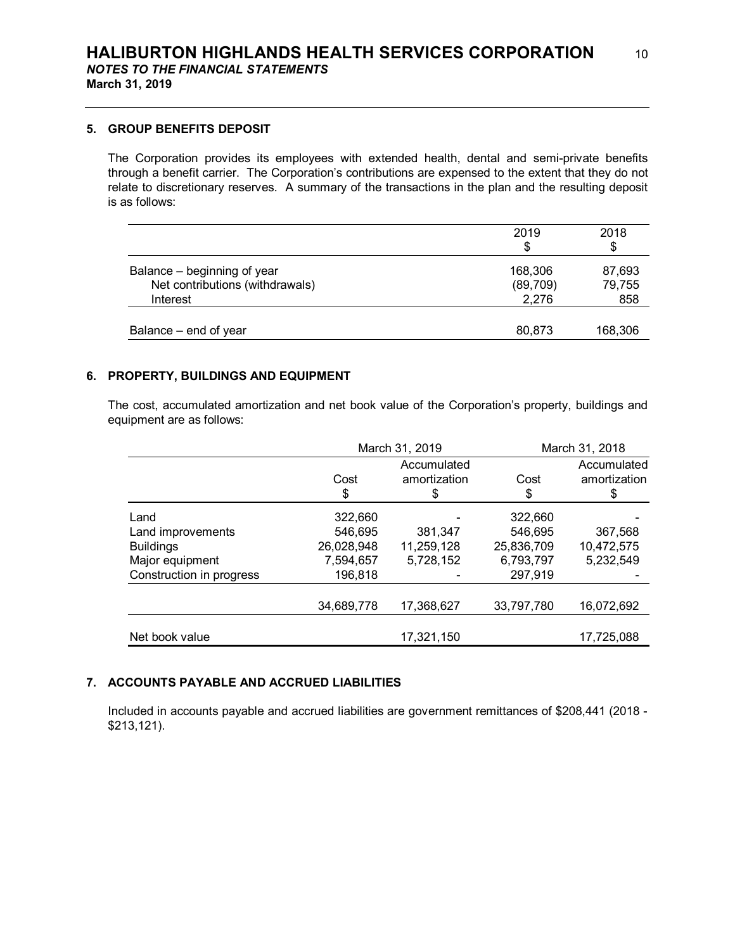#### **5. GROUP BENEFITS DEPOSIT**

The Corporation provides its employees with extended health, dental and semi-private benefits through a benefit carrier. The Corporation's contributions are expensed to the extent that they do not relate to discretionary reserves. A summary of the transactions in the plan and the resulting deposit is as follows:

|                                                                            | 2019<br>S                     | 2018<br>\$              |
|----------------------------------------------------------------------------|-------------------------------|-------------------------|
| Balance – beginning of year<br>Net contributions (withdrawals)<br>Interest | 168,306<br>(89, 709)<br>2,276 | 87,693<br>79,755<br>858 |
| Balance – end of year                                                      | 80,873                        | 168,306                 |

#### **6. PROPERTY, BUILDINGS AND EQUIPMENT**

The cost, accumulated amortization and net book value of the Corporation's property, buildings and equipment are as follows:

|                          | March 31, 2019<br>Accumulated |              |            | March 31, 2018 |
|--------------------------|-------------------------------|--------------|------------|----------------|
|                          |                               |              |            | Accumulated    |
|                          | Cost                          | amortization | Cost       | amortization   |
|                          | \$                            | \$           | \$         | \$             |
| Land                     | 322,660                       |              | 322,660    |                |
| Land improvements        | 546.695                       | 381.347      | 546,695    | 367,568        |
| <b>Buildings</b>         | 26,028,948                    | 11,259,128   | 25,836,709 | 10,472,575     |
| Major equipment          | 7,594,657                     | 5,728,152    | 6,793,797  | 5,232,549      |
| Construction in progress | 196,818                       |              | 297,919    |                |
|                          |                               |              |            |                |
|                          | 34,689,778                    | 17,368,627   | 33,797,780 | 16,072,692     |
| Net book value           |                               | 17,321,150   |            | 17,725,088     |
|                          |                               |              |            |                |

#### **7. ACCOUNTS PAYABLE AND ACCRUED LIABILITIES**

Included in accounts payable and accrued liabilities are government remittances of \$208,441 (2018 - \$213,121).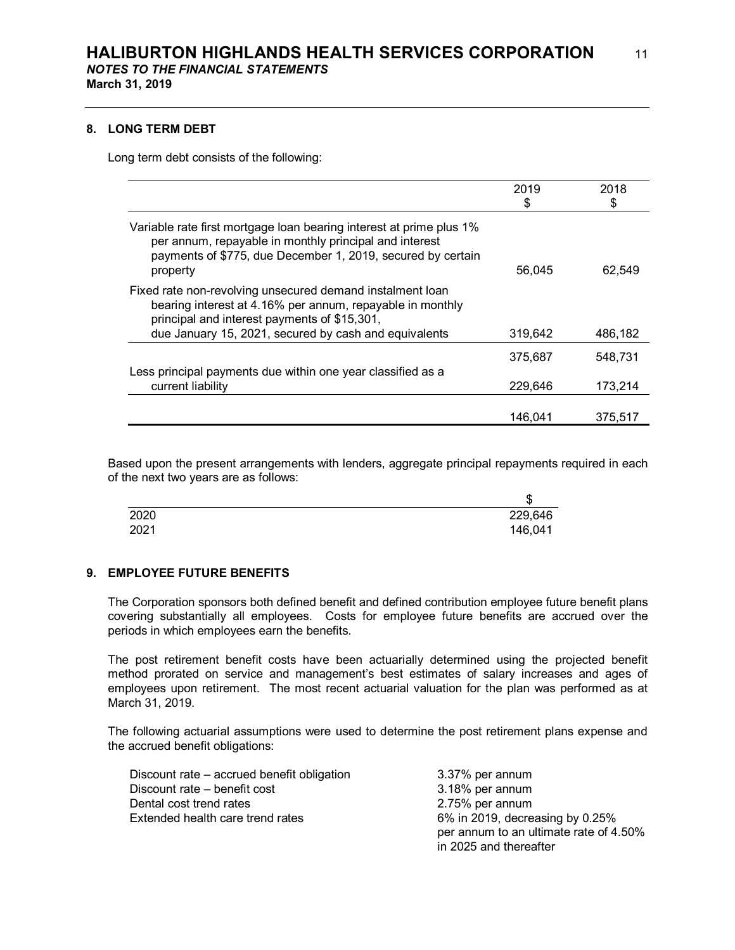#### **8. LONG TERM DEBT**

Long term debt consists of the following:

|                                                                                                                                                                                                          | 2019<br>S | 2018    |
|----------------------------------------------------------------------------------------------------------------------------------------------------------------------------------------------------------|-----------|---------|
|                                                                                                                                                                                                          |           | \$      |
| Variable rate first mortgage loan bearing interest at prime plus 1%<br>per annum, repayable in monthly principal and interest<br>payments of \$775, due December 1, 2019, secured by certain<br>property | 56,045    | 62,549  |
| Fixed rate non-revolving unsecured demand instalment loan<br>bearing interest at 4.16% per annum, repayable in monthly<br>principal and interest payments of \$15,301,                                   |           |         |
| due January 15, 2021, secured by cash and equivalents                                                                                                                                                    | 319,642   | 486,182 |
|                                                                                                                                                                                                          | 375,687   | 548,731 |
| Less principal payments due within one year classified as a<br>current liability                                                                                                                         | 229,646   | 173.214 |
|                                                                                                                                                                                                          | 146.041   | 375.517 |

Based upon the present arrangements with lenders, aggregate principal repayments required in each of the next two years are as follows:

|      | ጥ<br>ง  |
|------|---------|
| 2020 | 229,646 |
| 2021 | 146,041 |

#### **9. EMPLOYEE FUTURE BENEFITS**

The Corporation sponsors both defined benefit and defined contribution employee future benefit plans covering substantially all employees. Costs for employee future benefits are accrued over the periods in which employees earn the benefits.

The post retirement benefit costs have been actuarially determined using the projected benefit method prorated on service and management's best estimates of salary increases and ages of employees upon retirement. The most recent actuarial valuation for the plan was performed as at March 31, 2019.

The following actuarial assumptions were used to determine the post retirement plans expense and the accrued benefit obligations:

| Discount rate – accrued benefit obligation | 3.37% per annum                        |
|--------------------------------------------|----------------------------------------|
| Discount rate – benefit cost               | 3.18% per annum                        |
| Dental cost trend rates                    | 2.75% per annum                        |
| Extended health care trend rates           | 6% in 2019, decreasing by 0.25%        |
|                                            | per annum to an ultimate rate of 4.50% |
|                                            | in 2025 and thereafter                 |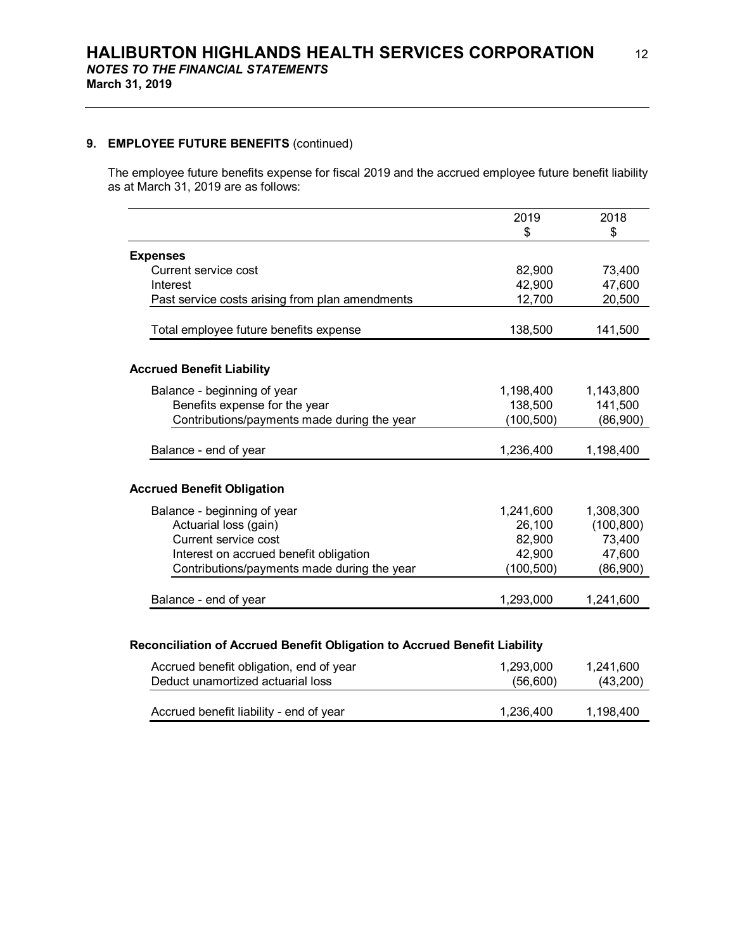#### **9. EMPLOYEE FUTURE BENEFITS (continued)**

The employee future benefits expense for fiscal 2019 and the accrued employee future benefit liability as at March 31, 2019 are as follows:

|                                                                           | 2019       | 2018       |
|---------------------------------------------------------------------------|------------|------------|
|                                                                           | \$         | \$         |
| <b>Expenses</b>                                                           |            |            |
| Current service cost                                                      | 82,900     | 73,400     |
| Interest                                                                  | 42,900     | 47,600     |
| Past service costs arising from plan amendments                           | 12,700     | 20,500     |
|                                                                           |            |            |
| Total employee future benefits expense                                    | 138,500    | 141,500    |
|                                                                           |            |            |
| <b>Accrued Benefit Liability</b>                                          |            |            |
| Balance - beginning of year                                               | 1,198,400  | 1,143,800  |
| Benefits expense for the year                                             | 138,500    | 141,500    |
| Contributions/payments made during the year                               | (100, 500) | (86,900)   |
|                                                                           |            |            |
| Balance - end of year                                                     | 1,236,400  | 1,198,400  |
|                                                                           |            |            |
| <b>Accrued Benefit Obligation</b>                                         |            |            |
| Balance - beginning of year                                               | 1,241,600  | 1,308,300  |
| Actuarial loss (gain)                                                     | 26,100     | (100, 800) |
| Current service cost                                                      | 82,900     | 73,400     |
| Interest on accrued benefit obligation                                    | 42,900     | 47,600     |
| Contributions/payments made during the year                               | (100, 500) | (86,900)   |
|                                                                           |            |            |
| Balance - end of year                                                     | 1,293,000  | 1,241,600  |
|                                                                           |            |            |
| Reconciliation of Accrued Benefit Obligation to Accrued Benefit Liability |            |            |
|                                                                           |            |            |
| Accrued benefit obligation, end of year                                   | 1,293,000  | 1,241,600  |

| Accrued benefit obligation, end of year | 1.293.000 | 1.241.000 |
|-----------------------------------------|-----------|-----------|
| Deduct unamortized actuarial loss       | (56,600)  | (43,200)  |
|                                         |           |           |
| Accrued benefit liability - end of year | 1.236.400 | 1.198.400 |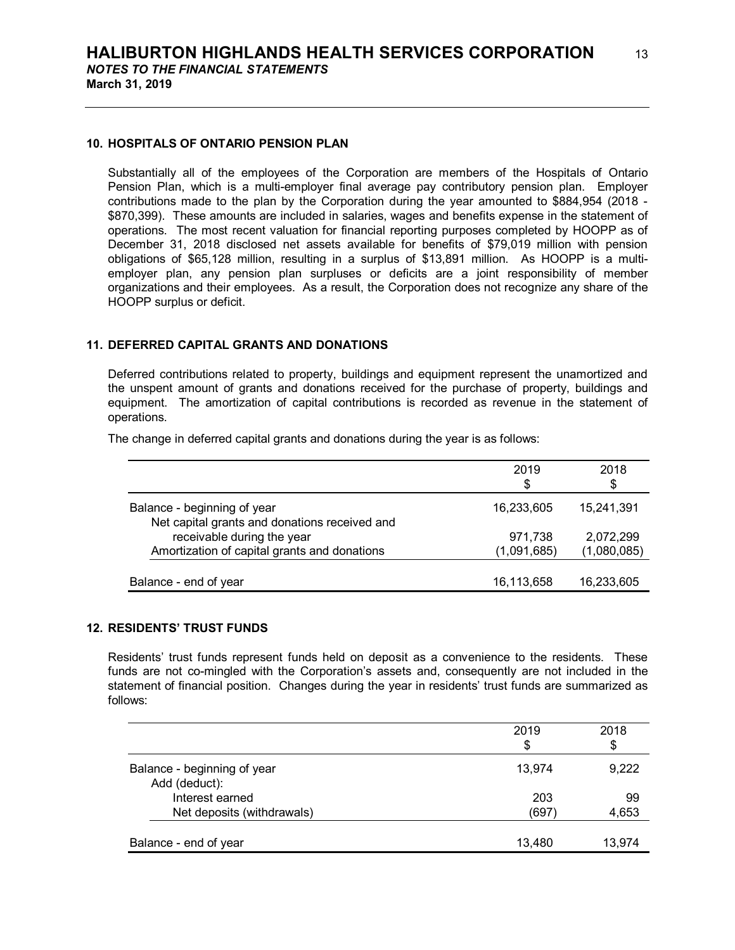#### **10. HOSPITALS OF ONTARIO PENSION PLAN**

Substantially all of the employees of the Corporation are members of the Hospitals of Ontario Pension Plan, which is a multi-employer final average pay contributory pension plan. Employer contributions made to the plan by the Corporation during the year amounted to \$884,954 (2018 - \$870,399). These amounts are included in salaries, wages and benefits expense in the statement of operations. The most recent valuation for financial reporting purposes completed by HOOPP as of December 31, 2018 disclosed net assets available for benefits of \$79,019 million with pension obligations of \$65,128 million, resulting in a surplus of \$13,891 million. As HOOPP is a multiemployer plan, any pension plan surpluses or deficits are a joint responsibility of member organizations and their employees. As a result, the Corporation does not recognize any share of the HOOPP surplus or deficit.

#### **11. DEFERRED CAPITAL GRANTS AND DONATIONS**

Deferred contributions related to property, buildings and equipment represent the unamortized and the unspent amount of grants and donations received for the purchase of property, buildings and equipment. The amortization of capital contributions is recorded as revenue in the statement of operations.

The change in deferred capital grants and donations during the year is as follows:

|                                                                              | 2019<br>\$  | 2018<br>\$  |
|------------------------------------------------------------------------------|-------------|-------------|
| Balance - beginning of year<br>Net capital grants and donations received and | 16,233,605  | 15,241,391  |
| receivable during the year                                                   | 971,738     | 2,072,299   |
| Amortization of capital grants and donations                                 | (1,091,685) | (1,080,085) |
| Balance - end of year                                                        | 16,113,658  | 16,233,605  |

#### **12. RESIDENTS' TRUST FUNDS**

Residents' trust funds represent funds held on deposit as a convenience to the residents. These funds are not co-mingled with the Corporation's assets and, consequently are not included in the statement of financial position. Changes during the year in residents' trust funds are summarized as follows:

|                                              | 2019<br>\$ | 2018<br>\$ |
|----------------------------------------------|------------|------------|
| Balance - beginning of year<br>Add (deduct): | 13,974     | 9,222      |
| Interest earned                              | 203        | 99         |
| Net deposits (withdrawals)                   | (697)      | 4,653      |
| Balance - end of year                        | 13,480     | 13,974     |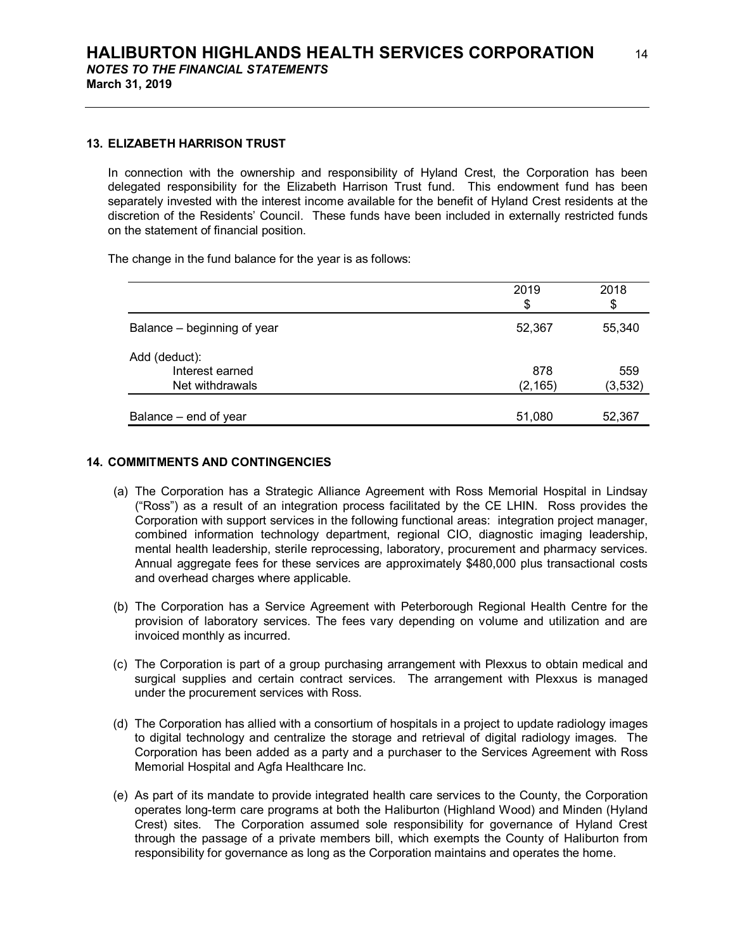#### **13. ELIZABETH HARRISON TRUST**

 In connection with the ownership and responsibility of Hyland Crest, the Corporation has been delegated responsibility for the Elizabeth Harrison Trust fund. This endowment fund has been separately invested with the interest income available for the benefit of Hyland Crest residents at the discretion of the Residents' Council. These funds have been included in externally restricted funds on the statement of financial position.

The change in the fund balance for the year is as follows:

|                             | 2019<br>\$ | 2018<br>\$ |
|-----------------------------|------------|------------|
| Balance – beginning of year | 52,367     | 55,340     |
| Add (deduct):               |            |            |
| Interest earned             | 878        | 559        |
| Net withdrawals             | (2, 165)   | (3, 532)   |
| Balance – end of year       | 51,080     | 52,367     |

#### **14. COMMITMENTS AND CONTINGENCIES**

- (a) The Corporation has a Strategic Alliance Agreement with Ross Memorial Hospital in Lindsay ("Ross") as a result of an integration process facilitated by the CE LHIN. Ross provides the Corporation with support services in the following functional areas: integration project manager, combined information technology department, regional CIO, diagnostic imaging leadership, mental health leadership, sterile reprocessing, laboratory, procurement and pharmacy services. Annual aggregate fees for these services are approximately \$480,000 plus transactional costs and overhead charges where applicable.
- (b) The Corporation has a Service Agreement with Peterborough Regional Health Centre for the provision of laboratory services. The fees vary depending on volume and utilization and are invoiced monthly as incurred.
- (c) The Corporation is part of a group purchasing arrangement with Plexxus to obtain medical and surgical supplies and certain contract services. The arrangement with Plexxus is managed under the procurement services with Ross.
- (d) The Corporation has allied with a consortium of hospitals in a project to update radiology images to digital technology and centralize the storage and retrieval of digital radiology images. The Corporation has been added as a party and a purchaser to the Services Agreement with Ross Memorial Hospital and Agfa Healthcare Inc.
- (e) As part of its mandate to provide integrated health care services to the County, the Corporation operates long-term care programs at both the Haliburton (Highland Wood) and Minden (Hyland Crest) sites. The Corporation assumed sole responsibility for governance of Hyland Crest through the passage of a private members bill, which exempts the County of Haliburton from responsibility for governance as long as the Corporation maintains and operates the home.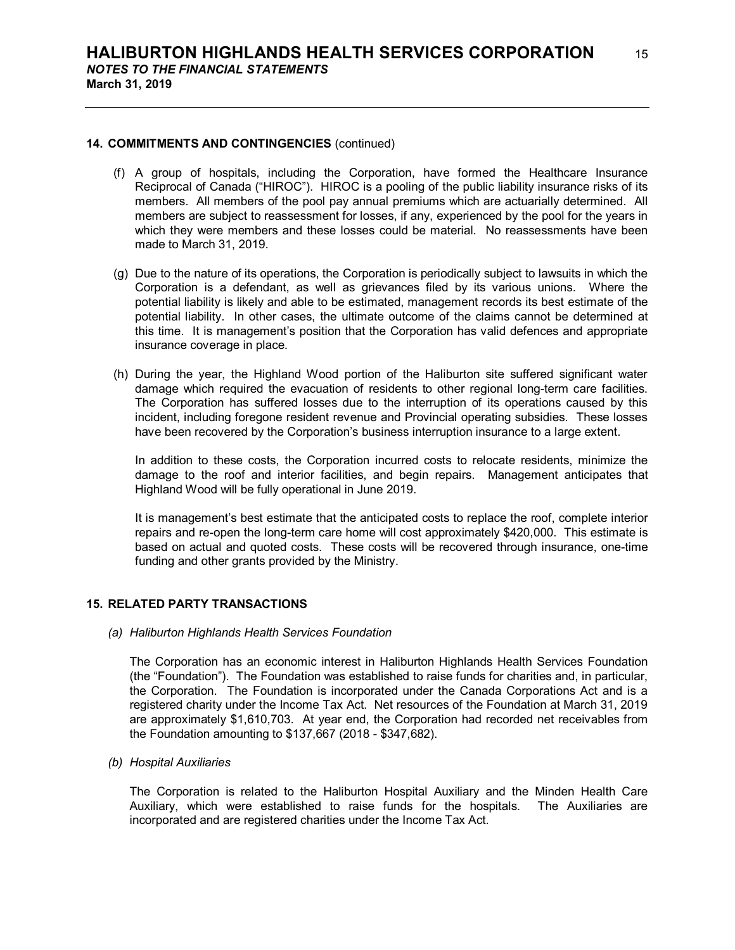#### **14. COMMITMENTS AND CONTINGENCIES** (continued)

- (f) A group of hospitals, including the Corporation, have formed the Healthcare Insurance Reciprocal of Canada ("HIROC"). HIROC is a pooling of the public liability insurance risks of its members. All members of the pool pay annual premiums which are actuarially determined. All members are subject to reassessment for losses, if any, experienced by the pool for the years in which they were members and these losses could be material. No reassessments have been made to March 31, 2019.
- (g) Due to the nature of its operations, the Corporation is periodically subject to lawsuits in which the Corporation is a defendant, as well as grievances filed by its various unions. Where the potential liability is likely and able to be estimated, management records its best estimate of the potential liability. In other cases, the ultimate outcome of the claims cannot be determined at this time. It is management's position that the Corporation has valid defences and appropriate insurance coverage in place.
- (h) During the year, the Highland Wood portion of the Haliburton site suffered significant water damage which required the evacuation of residents to other regional long-term care facilities. The Corporation has suffered losses due to the interruption of its operations caused by this incident, including foregone resident revenue and Provincial operating subsidies. These losses have been recovered by the Corporation's business interruption insurance to a large extent.

In addition to these costs, the Corporation incurred costs to relocate residents, minimize the damage to the roof and interior facilities, and begin repairs. Management anticipates that Highland Wood will be fully operational in June 2019.

It is management's best estimate that the anticipated costs to replace the roof, complete interior repairs and re-open the long-term care home will cost approximately \$420,000. This estimate is based on actual and quoted costs. These costs will be recovered through insurance, one-time funding and other grants provided by the Ministry.

#### **15. RELATED PARTY TRANSACTIONS**

*(a) Haliburton Highlands Health Services Foundation*

The Corporation has an economic interest in Haliburton Highlands Health Services Foundation (the "Foundation"). The Foundation was established to raise funds for charities and, in particular, the Corporation. The Foundation is incorporated under the Canada Corporations Act and is a registered charity under the Income Tax Act. Net resources of the Foundation at March 31, 2019 are approximately \$1,610,703. At year end, the Corporation had recorded net receivables from the Foundation amounting to \$137,667 (2018 - \$347,682).

*(b) Hospital Auxiliaries*

The Corporation is related to the Haliburton Hospital Auxiliary and the Minden Health Care Auxiliary, which were established to raise funds for the hospitals. The Auxiliaries are incorporated and are registered charities under the Income Tax Act.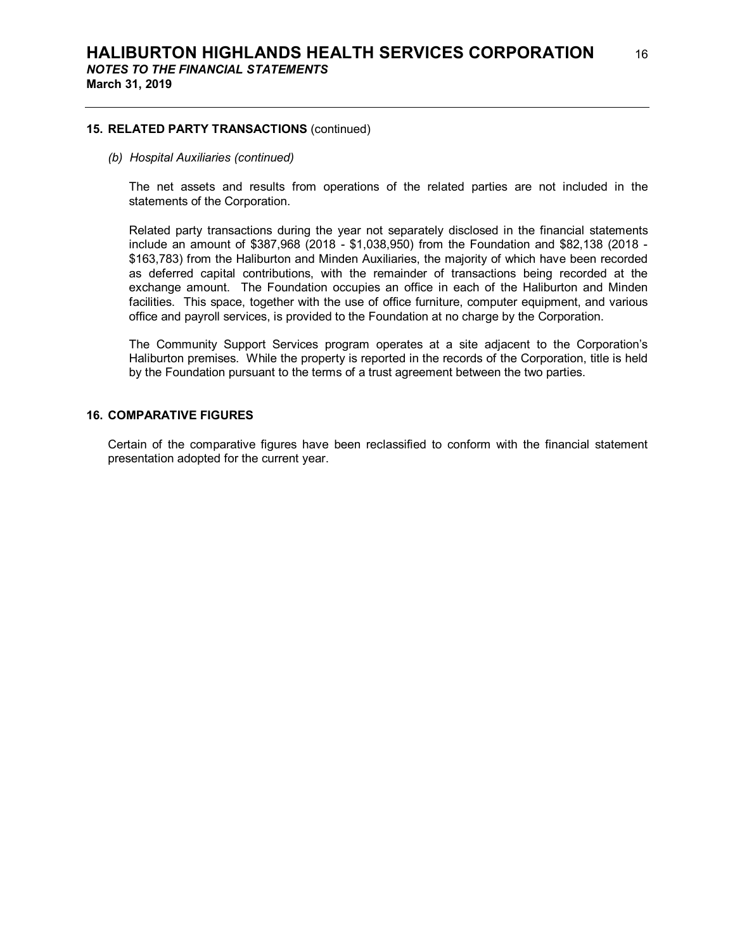#### **15. RELATED PARTY TRANSACTIONS** (continued)

*(b) Hospital Auxiliaries (continued)*

The net assets and results from operations of the related parties are not included in the statements of the Corporation.

Related party transactions during the year not separately disclosed in the financial statements include an amount of \$387,968 (2018 - \$1,038,950) from the Foundation and \$82,138 (2018 - \$163,783) from the Haliburton and Minden Auxiliaries, the majority of which have been recorded as deferred capital contributions, with the remainder of transactions being recorded at the exchange amount. The Foundation occupies an office in each of the Haliburton and Minden facilities. This space, together with the use of office furniture, computer equipment, and various office and payroll services, is provided to the Foundation at no charge by the Corporation.

The Community Support Services program operates at a site adjacent to the Corporation's Haliburton premises. While the property is reported in the records of the Corporation, title is held by the Foundation pursuant to the terms of a trust agreement between the two parties.

#### **16. COMPARATIVE FIGURES**

Certain of the comparative figures have been reclassified to conform with the financial statement presentation adopted for the current year.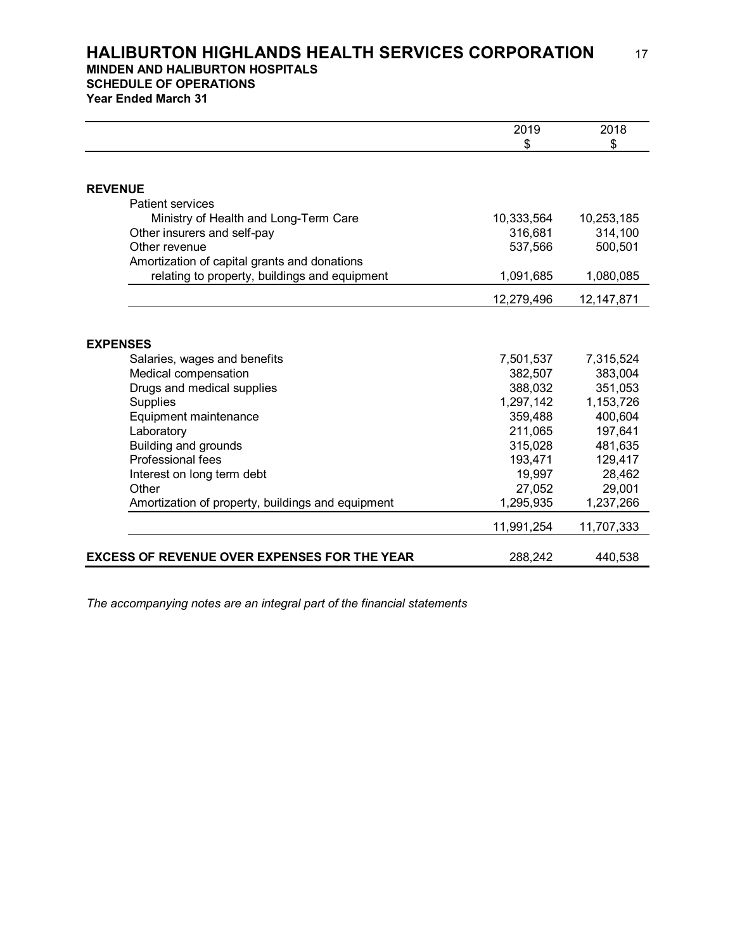#### **MINDEN AND HALIBURTON HOSPITALS**

**SCHEDULE OF OPERATIONS**

**Year Ended March 31**

|                                                     | 2019       | 2018         |
|-----------------------------------------------------|------------|--------------|
|                                                     | \$         | \$           |
|                                                     |            |              |
| <b>REVENUE</b>                                      |            |              |
| <b>Patient services</b>                             |            |              |
| Ministry of Health and Long-Term Care               | 10,333,564 | 10,253,185   |
| Other insurers and self-pay                         | 316,681    | 314,100      |
| Other revenue                                       | 537,566    | 500,501      |
| Amortization of capital grants and donations        |            |              |
| relating to property, buildings and equipment       | 1,091,685  | 1,080,085    |
|                                                     | 12,279,496 | 12, 147, 871 |
|                                                     |            |              |
| <b>EXPENSES</b>                                     |            |              |
| Salaries, wages and benefits                        | 7,501,537  | 7,315,524    |
| Medical compensation                                | 382,507    | 383,004      |
| Drugs and medical supplies                          | 388,032    | 351,053      |
| <b>Supplies</b>                                     | 1,297,142  | 1,153,726    |
| Equipment maintenance                               | 359,488    | 400,604      |
| Laboratory                                          | 211,065    | 197,641      |
| Building and grounds                                | 315,028    | 481,635      |
| Professional fees                                   | 193,471    | 129,417      |
| Interest on long term debt                          | 19,997     | 28,462       |
| Other                                               | 27,052     | 29,001       |
| Amortization of property, buildings and equipment   | 1,295,935  | 1,237,266    |
|                                                     | 11,991,254 | 11,707,333   |
| <b>EXCESS OF REVENUE OVER EXPENSES FOR THE YEAR</b> | 288,242    | 440,538      |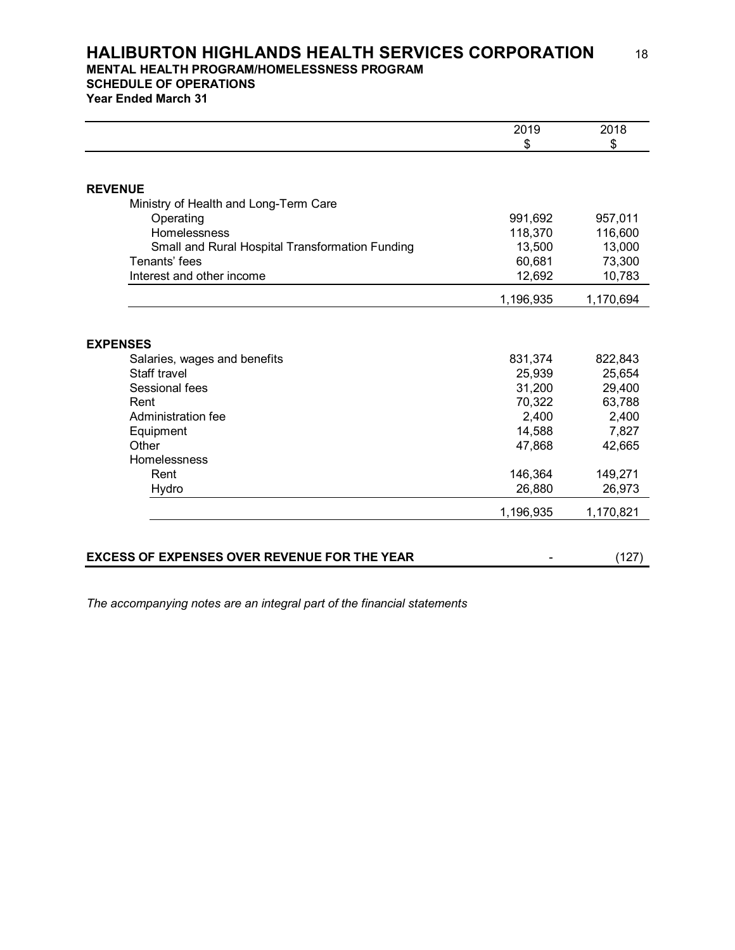**MENTAL HEALTH PROGRAM/HOMELESSNESS PROGRAM**

**SCHEDULE OF OPERATIONS**

**Year Ended March 31**

|                                                     | 2019      | 2018      |
|-----------------------------------------------------|-----------|-----------|
|                                                     | \$        | \$        |
|                                                     |           |           |
| <b>REVENUE</b>                                      |           |           |
| Ministry of Health and Long-Term Care               |           |           |
| Operating                                           | 991,692   | 957,011   |
| Homelessness                                        | 118,370   | 116,600   |
| Small and Rural Hospital Transformation Funding     | 13,500    | 13,000    |
| Tenants' fees                                       | 60,681    | 73,300    |
| Interest and other income                           | 12,692    | 10,783    |
|                                                     | 1,196,935 | 1,170,694 |
|                                                     |           |           |
| <b>EXPENSES</b>                                     |           |           |
| Salaries, wages and benefits                        | 831,374   | 822,843   |
| Staff travel                                        | 25,939    | 25,654    |
| Sessional fees                                      | 31,200    | 29,400    |
| Rent                                                | 70,322    | 63,788    |
| Administration fee                                  | 2,400     | 2,400     |
| Equipment                                           | 14,588    | 7,827     |
| Other                                               | 47,868    | 42,665    |
| Homelessness                                        |           |           |
| Rent                                                | 146,364   | 149,271   |
| Hydro                                               | 26,880    | 26,973    |
|                                                     | 1,196,935 | 1,170,821 |
|                                                     |           |           |
| <b>EXCESS OF EXPENSES OVER REVENUE FOR THE YEAR</b> |           | (127)     |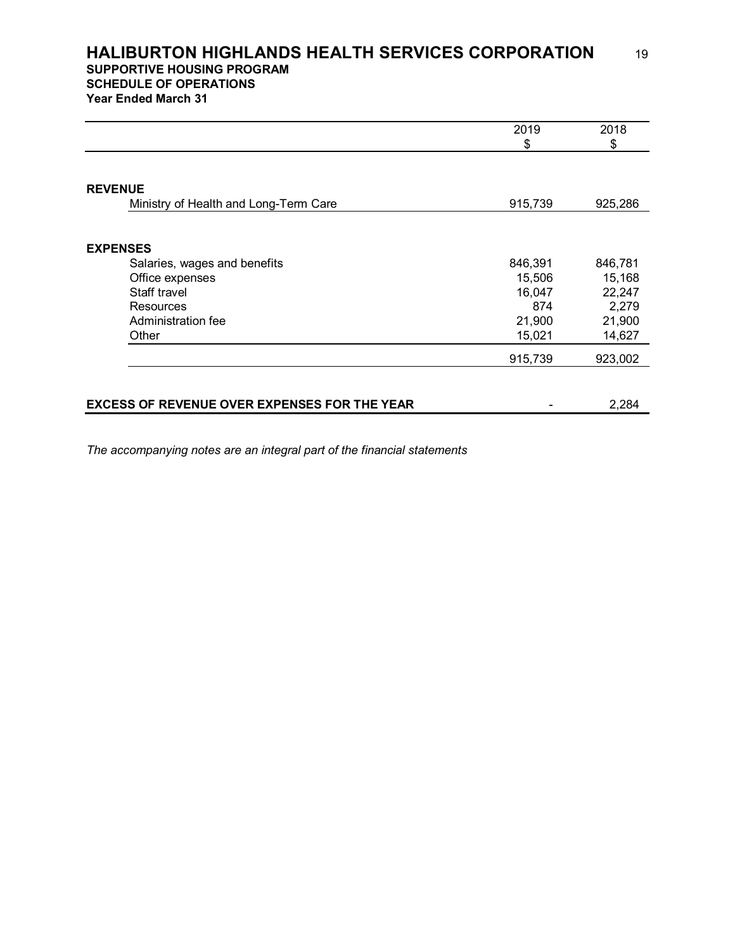### **HALIBURTON HIGHLANDS HEALTH SERVICES CORPORATION** 19 **SUPPORTIVE HOUSING PROGRAM**

**SCHEDULE OF OPERATIONS**

**Year Ended March 31**

|                                                     | 2019<br>\$ | 2018<br>\$ |
|-----------------------------------------------------|------------|------------|
|                                                     |            |            |
|                                                     |            |            |
| <b>REVENUE</b>                                      |            |            |
| Ministry of Health and Long-Term Care               | 915,739    | 925,286    |
|                                                     |            |            |
| <b>EXPENSES</b>                                     |            |            |
| Salaries, wages and benefits                        | 846,391    | 846,781    |
| Office expenses                                     | 15,506     | 15,168     |
| Staff travel                                        | 16,047     | 22,247     |
| Resources                                           | 874        | 2,279      |
| Administration fee                                  | 21,900     | 21,900     |
| Other                                               | 15,021     | 14,627     |
|                                                     | 915,739    | 923,002    |
|                                                     |            |            |
| <b>EXCESS OF REVENUE OVER EXPENSES FOR THE YEAR</b> |            | 2,284      |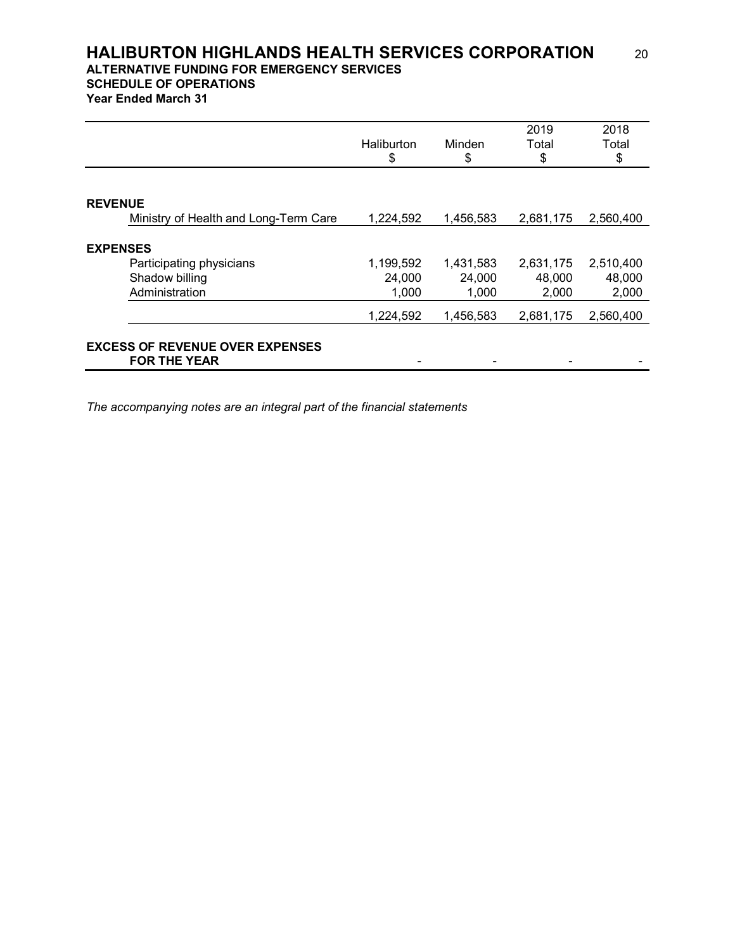### **HALIBURTON HIGHLANDS HEALTH SERVICES CORPORATION** 20 **ALTERNATIVE FUNDING FOR EMERGENCY SERVICES**

**SCHEDULE OF OPERATIONS Year Ended March 31**

|                                        |            |           | 2019      | 2018      |
|----------------------------------------|------------|-----------|-----------|-----------|
|                                        | Haliburton | Minden    | Total     | Total     |
|                                        | \$         | \$        | \$        | \$        |
|                                        |            |           |           |           |
| <b>REVENUE</b>                         |            |           |           |           |
| Ministry of Health and Long-Term Care  | 1,224,592  | 1,456,583 | 2,681,175 | 2,560,400 |
|                                        |            |           |           |           |
| <b>EXPENSES</b>                        |            |           |           |           |
| Participating physicians               | 1,199,592  | 1,431,583 | 2,631,175 | 2,510,400 |
| Shadow billing                         | 24,000     | 24,000    | 48,000    | 48,000    |
| Administration                         | 1,000      | 1,000     | 2,000     | 2,000     |
|                                        | 1,224,592  | 1,456,583 | 2,681,175 | 2,560,400 |
|                                        |            |           |           |           |
| <b>EXCESS OF REVENUE OVER EXPENSES</b> |            |           |           |           |
| <b>FOR THE YEAR</b>                    |            |           |           |           |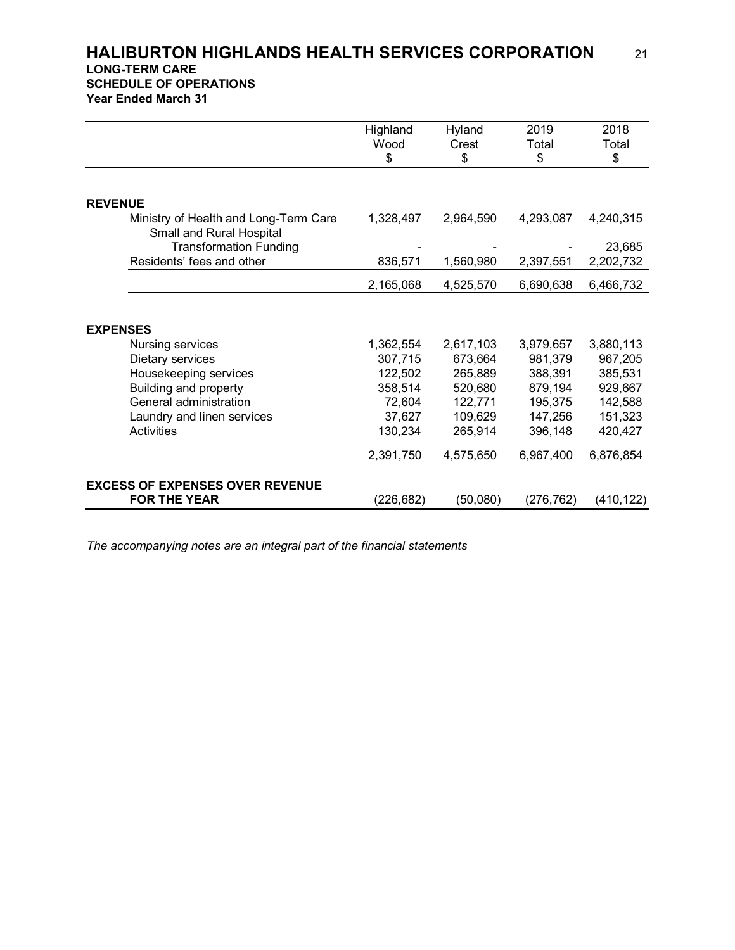#### **LONG-TERM CARE**

**SCHEDULE OF OPERATIONS Year Ended March 31**

| Tear Eliueu March 31 |  |  |
|----------------------|--|--|
|                      |  |  |

|                                                                   | Highland  | Hyland    | 2019      | 2018       |
|-------------------------------------------------------------------|-----------|-----------|-----------|------------|
|                                                                   | Wood      | Crest     | Total     | Total      |
|                                                                   | \$        | \$        | \$        | \$         |
|                                                                   |           |           |           |            |
| <b>REVENUE</b>                                                    |           |           |           |            |
| Ministry of Health and Long-Term Care<br>Small and Rural Hospital | 1,328,497 | 2,964,590 | 4,293,087 | 4,240,315  |
| <b>Transformation Funding</b>                                     |           |           |           | 23,685     |
| Residents' fees and other                                         | 836,571   | 1,560,980 | 2,397,551 | 2,202,732  |
|                                                                   | 2,165,068 | 4,525,570 | 6,690,638 | 6,466,732  |
|                                                                   |           |           |           |            |
| <b>EXPENSES</b>                                                   |           |           |           |            |
| Nursing services                                                  | 1,362,554 | 2,617,103 | 3,979,657 | 3,880,113  |
| Dietary services                                                  | 307,715   | 673,664   | 981,379   | 967,205    |
| Housekeeping services                                             | 122,502   | 265,889   | 388,391   | 385,531    |
| Building and property                                             | 358,514   | 520,680   | 879,194   | 929,667    |
| General administration                                            | 72,604    | 122,771   | 195,375   | 142,588    |
| Laundry and linen services                                        | 37,627    | 109,629   | 147,256   | 151,323    |
| <b>Activities</b>                                                 | 130,234   | 265,914   | 396,148   | 420,427    |
|                                                                   | 2,391,750 | 4,575,650 | 6,967,400 | 6,876,854  |
| <b>EXCESS OF EXPENSES OVER REVENUE</b>                            |           |           |           |            |
| <b>FOR THE YEAR</b>                                               | (226,682) | (50,080)  | (276,762) | (410, 122) |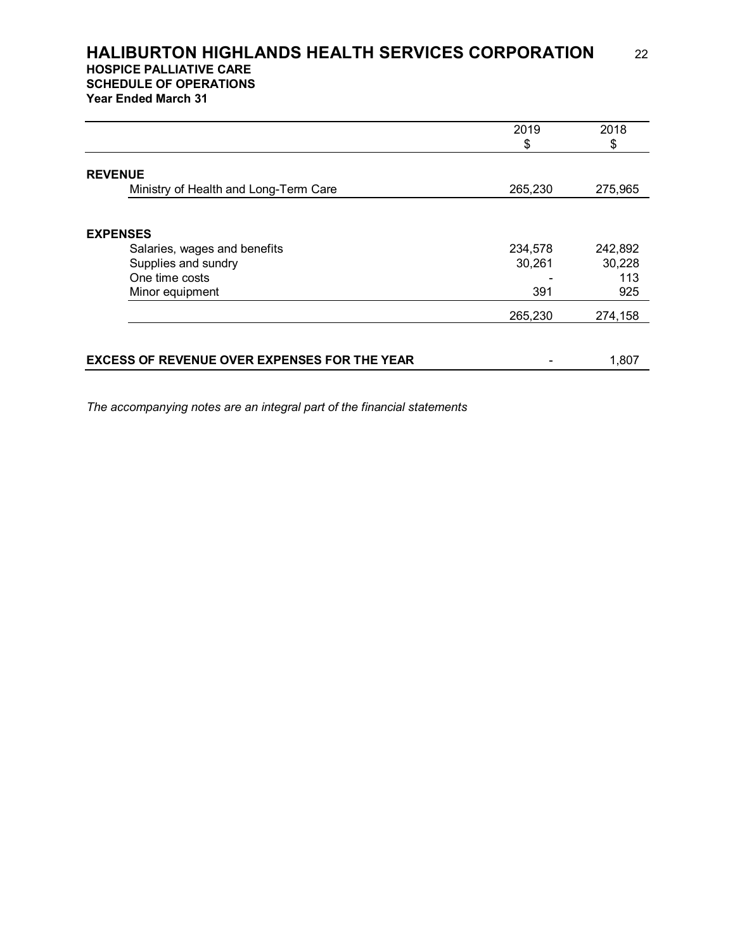### **HALIBURTON HIGHLANDS HEALTH SERVICES CORPORATION** 22 **HOSPICE PALLIATIVE CARE**

**SCHEDULE OF OPERATIONS**

**Year Ended March 31**

|                                                     | 2019<br>\$ | 2018<br>\$ |
|-----------------------------------------------------|------------|------------|
|                                                     |            |            |
| <b>REVENUE</b>                                      |            |            |
| Ministry of Health and Long-Term Care               | 265,230    | 275,965    |
|                                                     |            |            |
| <b>EXPENSES</b>                                     |            |            |
| Salaries, wages and benefits                        | 234,578    | 242,892    |
| Supplies and sundry                                 | 30,261     | 30,228     |
| One time costs                                      |            | 113        |
| Minor equipment                                     | 391        | 925        |
|                                                     | 265,230    | 274,158    |
|                                                     |            |            |
| <b>EXCESS OF REVENUE OVER EXPENSES FOR THE YEAR</b> |            | 1,807      |